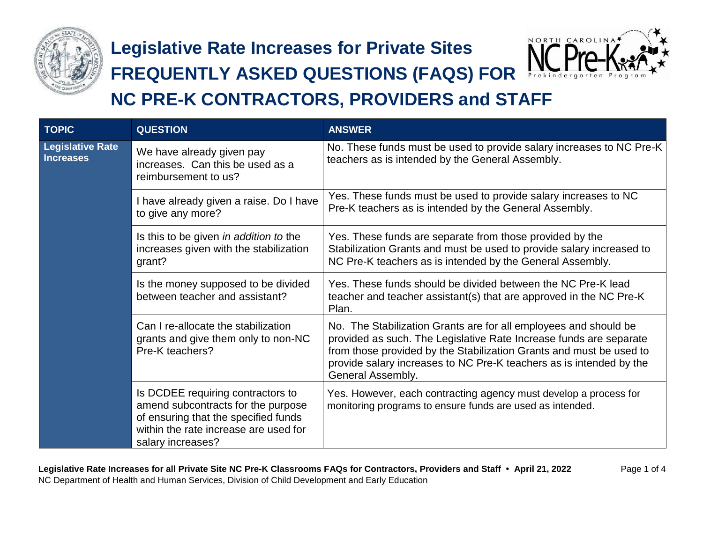

## **Legislative Rate Increases for Private Sites**

## **FREQUENTLY ASKED QUESTIONS (FAQS) FOR**



## **NC PRE-K CONTRACTORS, PROVIDERS and STAFF**

| <b>TOPIC</b>                                | <b>QUESTION</b>                                                                                                                                                               | <b>ANSWER</b>                                                                                                                                                                                                                                                                                             |  |
|---------------------------------------------|-------------------------------------------------------------------------------------------------------------------------------------------------------------------------------|-----------------------------------------------------------------------------------------------------------------------------------------------------------------------------------------------------------------------------------------------------------------------------------------------------------|--|
| <b>Legislative Rate</b><br><b>Increases</b> | We have already given pay<br>increases. Can this be used as a<br>reimbursement to us?                                                                                         | No. These funds must be used to provide salary increases to NC Pre-K<br>teachers as is intended by the General Assembly.                                                                                                                                                                                  |  |
|                                             | I have already given a raise. Do I have<br>to give any more?                                                                                                                  | Yes. These funds must be used to provide salary increases to NC<br>Pre-K teachers as is intended by the General Assembly.                                                                                                                                                                                 |  |
|                                             | Is this to be given in addition to the<br>increases given with the stabilization<br>grant?                                                                                    | Yes. These funds are separate from those provided by the<br>Stabilization Grants and must be used to provide salary increased to<br>NC Pre-K teachers as is intended by the General Assembly.                                                                                                             |  |
|                                             | Is the money supposed to be divided<br>between teacher and assistant?                                                                                                         | Yes. These funds should be divided between the NC Pre-K lead<br>teacher and teacher assistant(s) that are approved in the NC Pre-K<br>Plan.                                                                                                                                                               |  |
|                                             | Can I re-allocate the stabilization<br>grants and give them only to non-NC<br>Pre-K teachers?                                                                                 | No. The Stabilization Grants are for all employees and should be<br>provided as such. The Legislative Rate Increase funds are separate<br>from those provided by the Stabilization Grants and must be used to<br>provide salary increases to NC Pre-K teachers as is intended by the<br>General Assembly. |  |
|                                             | Is DCDEE requiring contractors to<br>amend subcontracts for the purpose<br>of ensuring that the specified funds<br>within the rate increase are used for<br>salary increases? | Yes. However, each contracting agency must develop a process for<br>monitoring programs to ensure funds are used as intended.                                                                                                                                                                             |  |

**Legislative Rate Increases for all Private Site NC Pre-K Classrooms FAQs for Contractors, Providers and Staff • April 21, 2022** Page 1 of 4 NC Department of Health and Human Services, Division of Child Development and Early Education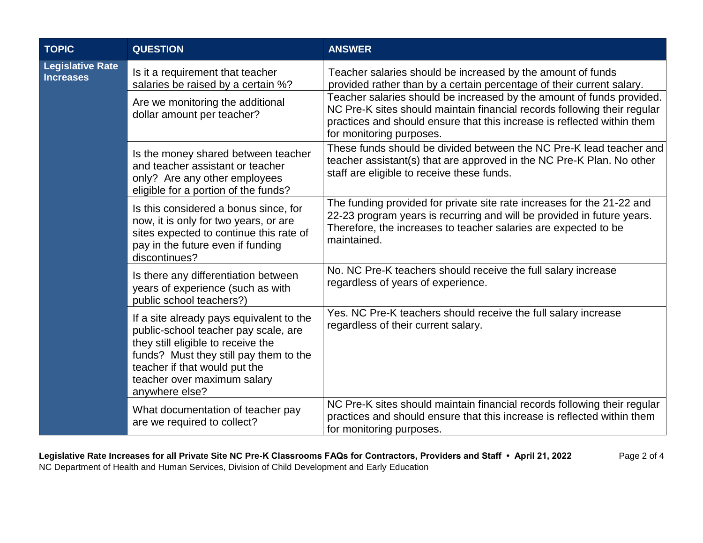| <b>TOPIC</b>                                | <b>QUESTION</b>                                                                                                                                                                                                                                    | <b>ANSWER</b>                                                                                                                                                                                                                                                                                                                                                                                    |  |  |
|---------------------------------------------|----------------------------------------------------------------------------------------------------------------------------------------------------------------------------------------------------------------------------------------------------|--------------------------------------------------------------------------------------------------------------------------------------------------------------------------------------------------------------------------------------------------------------------------------------------------------------------------------------------------------------------------------------------------|--|--|
| <b>Legislative Rate</b><br><b>Increases</b> | Is it a requirement that teacher<br>salaries be raised by a certain %?<br>Are we monitoring the additional<br>dollar amount per teacher?                                                                                                           | Teacher salaries should be increased by the amount of funds<br>provided rather than by a certain percentage of their current salary.<br>Teacher salaries should be increased by the amount of funds provided.<br>NC Pre-K sites should maintain financial records following their regular<br>practices and should ensure that this increase is reflected within them<br>for monitoring purposes. |  |  |
|                                             | Is the money shared between teacher<br>and teacher assistant or teacher<br>only? Are any other employees<br>eligible for a portion of the funds?                                                                                                   | These funds should be divided between the NC Pre-K lead teacher and<br>teacher assistant(s) that are approved in the NC Pre-K Plan. No other<br>staff are eligible to receive these funds.                                                                                                                                                                                                       |  |  |
|                                             | Is this considered a bonus since, for<br>now, it is only for two years, or are<br>sites expected to continue this rate of<br>pay in the future even if funding<br>discontinues?                                                                    | The funding provided for private site rate increases for the 21-22 and<br>22-23 program years is recurring and will be provided in future years.<br>Therefore, the increases to teacher salaries are expected to be<br>maintained.                                                                                                                                                               |  |  |
|                                             | Is there any differentiation between<br>years of experience (such as with<br>public school teachers?)                                                                                                                                              | No. NC Pre-K teachers should receive the full salary increase<br>regardless of years of experience.                                                                                                                                                                                                                                                                                              |  |  |
|                                             | If a site already pays equivalent to the<br>public-school teacher pay scale, are<br>they still eligible to receive the<br>funds? Must they still pay them to the<br>teacher if that would put the<br>teacher over maximum salary<br>anywhere else? | Yes. NC Pre-K teachers should receive the full salary increase<br>regardless of their current salary.                                                                                                                                                                                                                                                                                            |  |  |
|                                             | What documentation of teacher pay<br>are we required to collect?                                                                                                                                                                                   | NC Pre-K sites should maintain financial records following their regular<br>practices and should ensure that this increase is reflected within them<br>for monitoring purposes.                                                                                                                                                                                                                  |  |  |

Legislative Rate Increases for all Private Site NC Pre-K Classrooms FAQs for Contractors, Providers and Staff · April 21, 2022 Page 2 of 4 NC Department of Health and Human Services, Division of Child Development and Early Education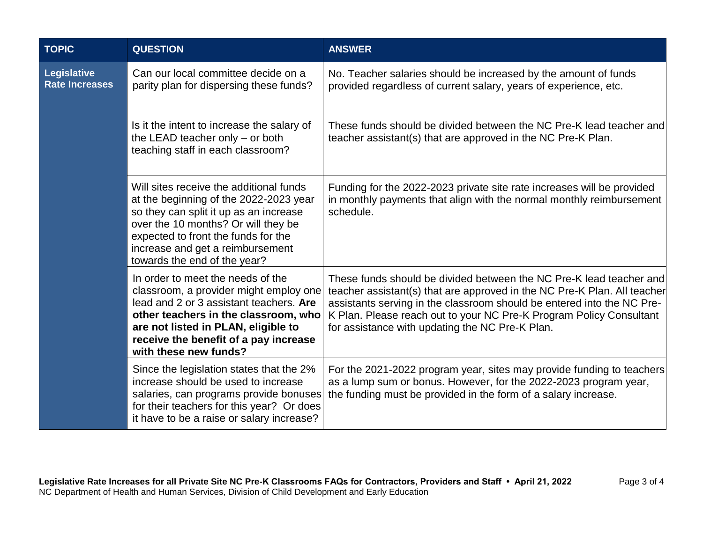| <b>TOPIC</b>                         | <b>QUESTION</b>                                                                                                                                                                                                                                                               | <b>ANSWER</b>                                                                                                                                                                                                                                                                                                                                       |  |  |
|--------------------------------------|-------------------------------------------------------------------------------------------------------------------------------------------------------------------------------------------------------------------------------------------------------------------------------|-----------------------------------------------------------------------------------------------------------------------------------------------------------------------------------------------------------------------------------------------------------------------------------------------------------------------------------------------------|--|--|
| Legislative<br><b>Rate Increases</b> | Can our local committee decide on a<br>parity plan for dispersing these funds?                                                                                                                                                                                                | No. Teacher salaries should be increased by the amount of funds<br>provided regardless of current salary, years of experience, etc.                                                                                                                                                                                                                 |  |  |
|                                      | Is it the intent to increase the salary of<br>the <b>LEAD</b> teacher only - or both<br>teaching staff in each classroom?                                                                                                                                                     | These funds should be divided between the NC Pre-K lead teacher and<br>teacher assistant(s) that are approved in the NC Pre-K Plan.                                                                                                                                                                                                                 |  |  |
|                                      | Will sites receive the additional funds<br>at the beginning of the 2022-2023 year<br>so they can split it up as an increase<br>over the 10 months? Or will they be<br>expected to front the funds for the<br>increase and get a reimbursement<br>towards the end of the year? | Funding for the 2022-2023 private site rate increases will be provided<br>in monthly payments that align with the normal monthly reimbursement<br>schedule.                                                                                                                                                                                         |  |  |
|                                      | In order to meet the needs of the<br>classroom, a provider might employ one<br>lead and 2 or 3 assistant teachers. Are<br>other teachers in the classroom, who<br>are not listed in PLAN, eligible to<br>receive the benefit of a pay increase<br>with these new funds?       | These funds should be divided between the NC Pre-K lead teacher and<br>teacher assistant(s) that are approved in the NC Pre-K Plan. All teacher<br>assistants serving in the classroom should be entered into the NC Pre-<br>K Plan. Please reach out to your NC Pre-K Program Policy Consultant<br>for assistance with updating the NC Pre-K Plan. |  |  |
|                                      | Since the legislation states that the 2%<br>increase should be used to increase<br>salaries, can programs provide bonuses<br>for their teachers for this year? Or does<br>it have to be a raise or salary increase?                                                           | For the 2021-2022 program year, sites may provide funding to teachers<br>as a lump sum or bonus. However, for the 2022-2023 program year,<br>the funding must be provided in the form of a salary increase.                                                                                                                                         |  |  |